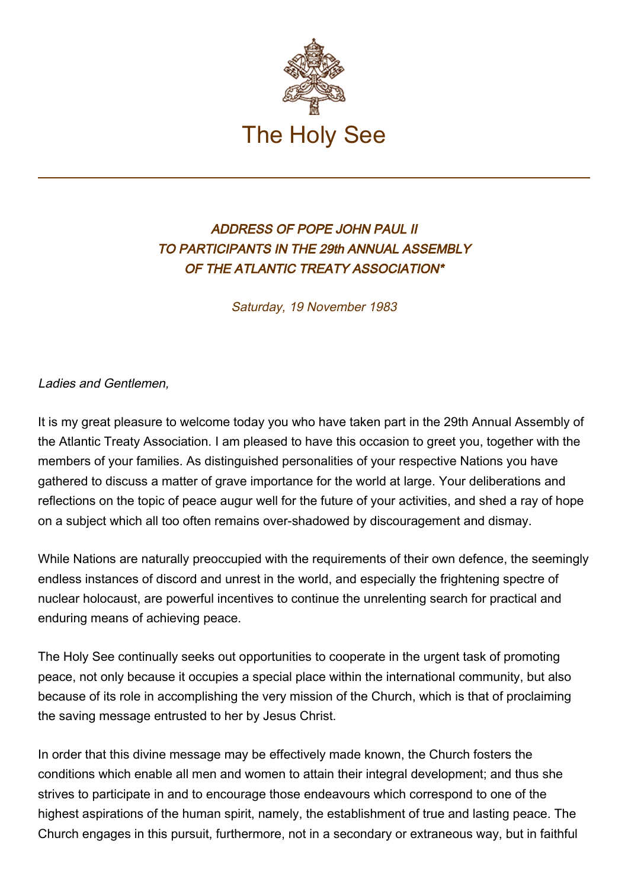

## ADDRESS OF POPE JOHN PAUL II TO PARTICIPANTS IN THE 29th ANNUAL ASSEMBLY OF THE ATLANTIC TREATY ASSOCIATION\*

Saturday, 19 November 1983

## Ladies and Gentlemen,

It is my great pleasure to welcome today you who have taken part in the 29th Annual Assembly of the Atlantic Treaty Association. I am pleased to have this occasion to greet you, together with the members of your families. As distinguished personalities of your respective Nations you have gathered to discuss a matter of grave importance for the world at large. Your deliberations and reflections on the topic of peace augur well for the future of your activities, and shed a ray of hope on a subject which all too often remains over-shadowed by discouragement and dismay.

While Nations are naturally preoccupied with the requirements of their own defence, the seemingly endless instances of discord and unrest in the world, and especially the frightening spectre of nuclear holocaust, are powerful incentives to continue the unrelenting search for practical and enduring means of achieving peace.

The Holy See continually seeks out opportunities to cooperate in the urgent task of promoting peace, not only because it occupies a special place within the international community, but also because of its role in accomplishing the very mission of the Church, which is that of proclaiming the saving message entrusted to her by Jesus Christ.

In order that this divine message may be effectively made known, the Church fosters the conditions which enable all men and women to attain their integral development; and thus she strives to participate in and to encourage those endeavours which correspond to one of the highest aspirations of the human spirit, namely, the establishment of true and lasting peace. The Church engages in this pursuit, furthermore, not in a secondary or extraneous way, but in faithful